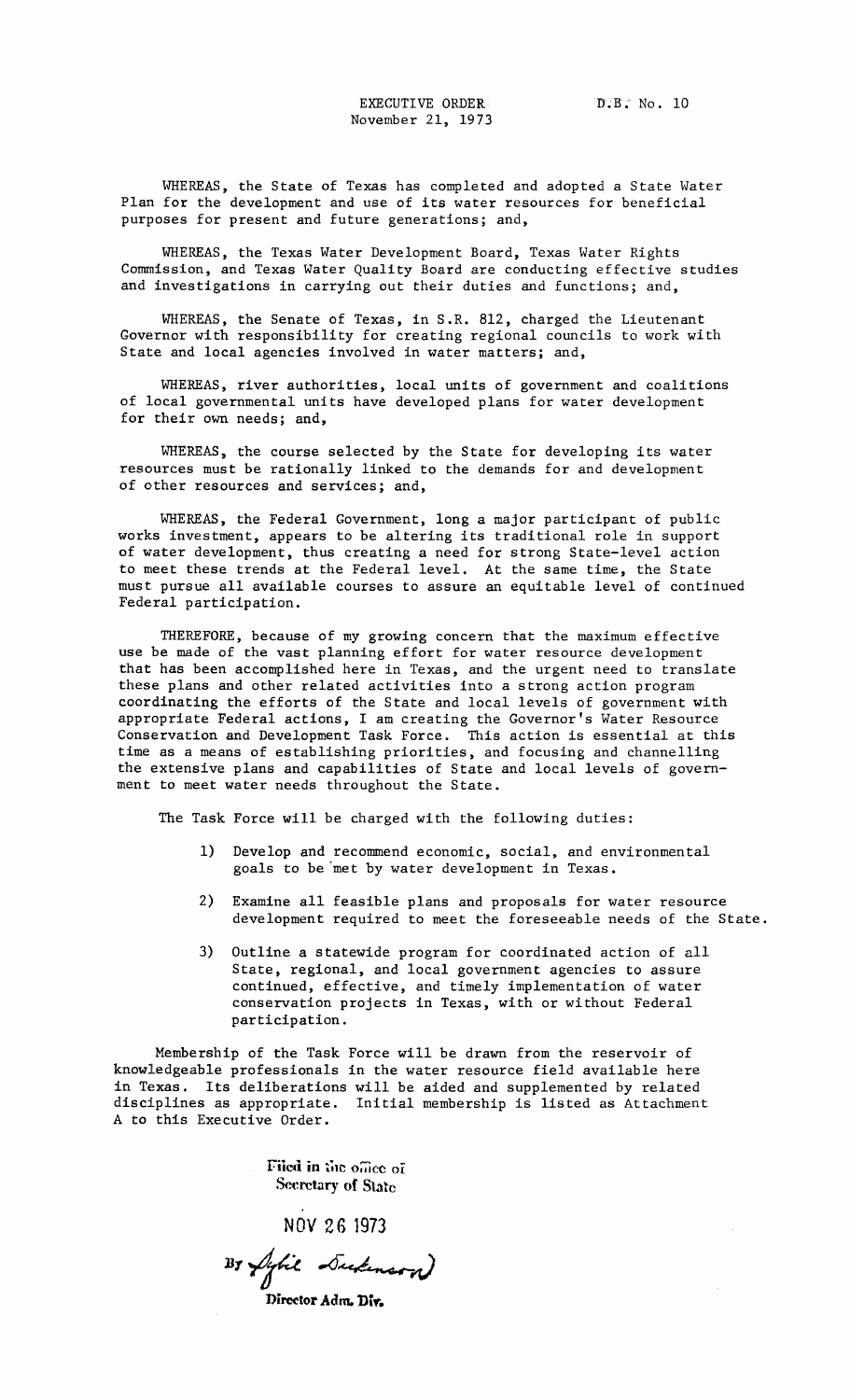WHEREAS, the State of Texas has completed and adopted a State Water Plan for the development and use of its water resources for beneficial purposes for present and future generations; and,

WHEREAS, the Texas Water Development Board, Texas Water Rights Commission, and Texas Water Quality Board are conducting effective studies and investigations in carrying out their duties and functions; and,

WHEREAS, the Senate of Texas, in S.R. 812, charged the Lieutenant Governor with responsibility for creating regional councils to work with State and local agencies involved in water matters; and,

WHEREAS, river authorities, local units of government and coalitions of local governmental units have developed plans for water development for their own needs; and,

WHEREAS, the course selected by the State for developing its water resources must be rationally linked to the demands for and development of other resources and services; and,

WHEREAS, the Federal Government, long a major participant of public works investment, appears to be altering its traditional role in support of water development, thus creating a need for strong State-level action to meet these trends at the Federal level. At the same time, the State must pursue all available courses to assure an equitable level of continued Federal participation.

THEREFORE, because of my growing concern that the maximum effective use be made of the vast planning effort for water resource development that has been accomplished here in Texas, and the urgent need to translate these plans and other related activities into a strong action program coordinating the efforts of the State and local levels of government with appropriate Federal actions, I am creating the Governor's Water Resource Conservation and Development Task Force. This action is essential at this time as a means of establishing priorities, and focusing and channelling the extensive plans and capabilities of State and local levels of government to meet water needs throughout the State.

The Task Force will be charged with the following duties:

- 1) Develop and recommend economic, social, and environmental goals to be 'met by water development in Texas.
- 2) Examine all feasible plans and proposals for water resource development required to meet the foreseeable needs of the State.
- 3) Outline a statewide program for coordinated action of all State, regional, and local government agencies to assure continued, effective, and timely implementation of water conservation projects in Texas, with or without Federal participation.

Membership of the Task Force will be drawn from the reservoir of knowledgeable professionals in the water resource field available here in Texas. Its deliberations will be aided and supplemented by related disciplines as appropriate. Initial membership is listed as Attachment A to this Executive Order.

> Filed in the office of **Secretary of State**

> > NOV 26 1973

By Sylie Sudenson

Director Adm. Div.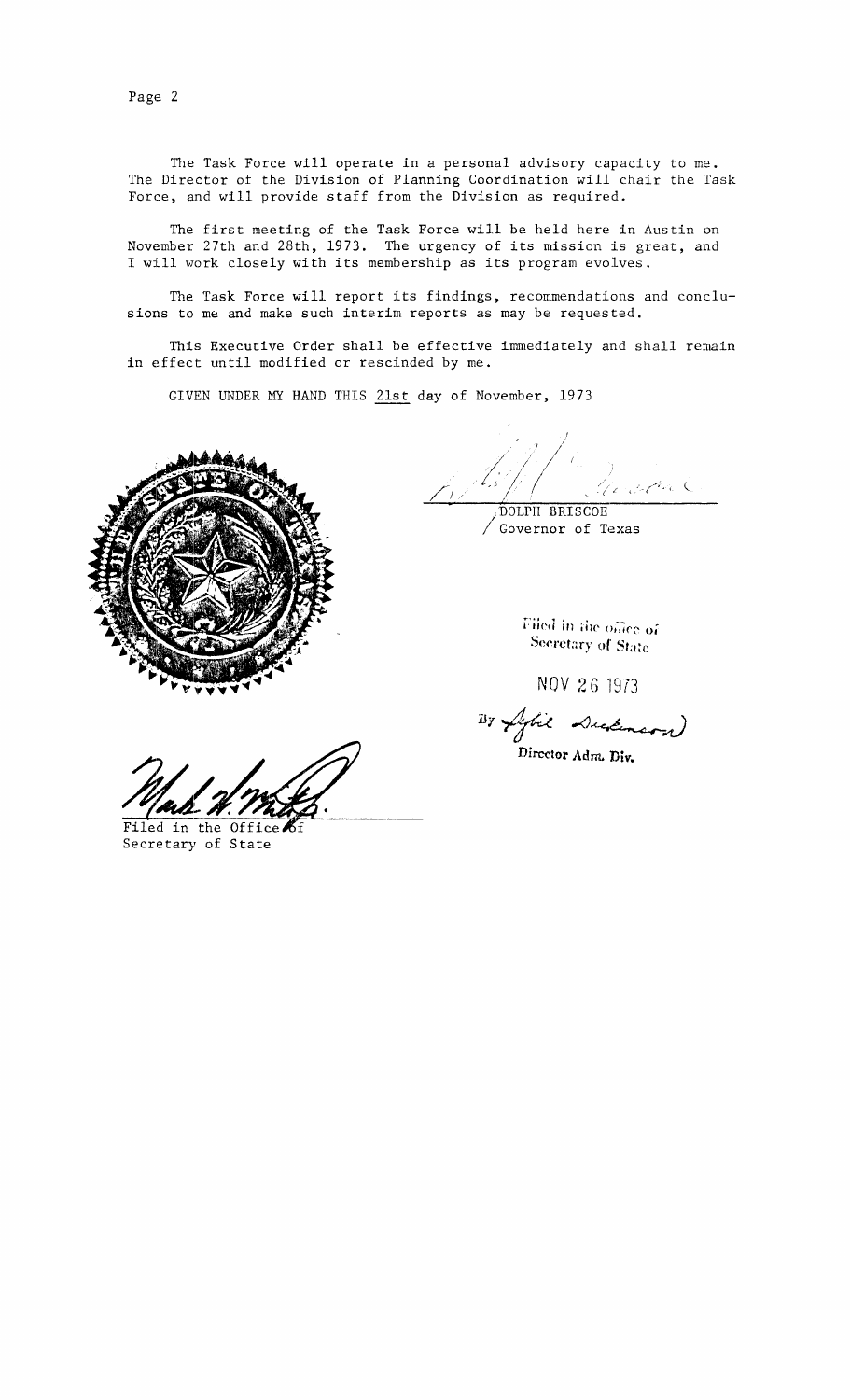Page 2

The Task Force will operate in a personal advisory capacity to me. The Director of the Division of Planning Coordination will chair the Task Foree, and will provide staff from the Division as required.

The first meeting of the Task Force will be held here in Austin on November 27th and 28th, 1973. The urgency of its mission is great, and <sup>I</sup> wlll work closely with its membership as its program evolves.

The Task Force will report its findings, recommendations and conclusions to me and make such interim reports as may be requested.

This Executive Order shall be effective immediately and shall remain in effect until modified or rescinded by me.

GIVEN UNDER MY HAND THIS 21st day of November, 1973



 $.$   $\sim$   $\sim$ ,." /' *Ii 11;1* /1/' "/ t' , DOLPH BRISCOE

/ Governor of Texas

Filed in the office of Secretary of State

NOV 26 '1973

 $B$ y fight Dudeners)

Director Adm. **Div.**

Filed in the Office of Secretary of State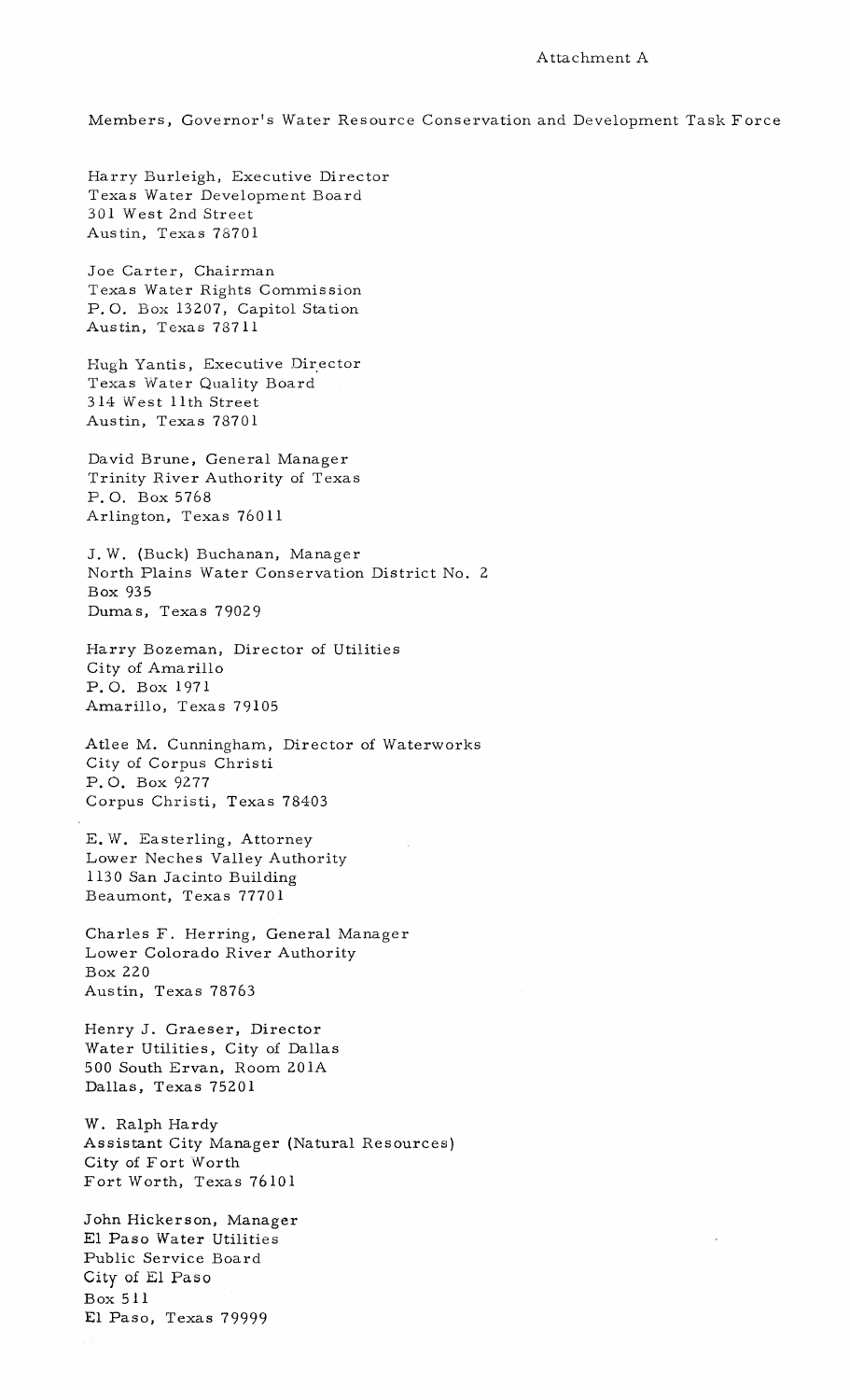## Attachment A

Members, Governor's Water Resource Conservation and Development Task Force

Harry Burleigh, Executive Director Texas Water Development Board 301 West 2nd Street Austin, Texas 78701

Joe Carter, Chairman Texas Water Rights Commission P. O. Box 13207, Capitol Station Austin, Texas 78711

Hugh Yantis, Executive Director Texas Water Quality Board 314 West 11th Street Austin, Texas 78701

David Brune, General Manager Trinity River Authority of Texas P. O. Box 5768 Arlington, Texas 76011

J. W. (Buck) Buchanan, Manager North Plains Water Conservation District No. 2 Box 935 Dumas, Texas 79029

Harry Bozeman, Director of Utilities City of Amarillo P. O. Box 1971 Amarillo, Texas 79105

Atlee M. Cunningham, Director of Waterworks City of Corpus Christi P. O. Box 9277 Corpus Christi, Texas 78403

E. W. Easterling, Attorney Lower Neches Valley Authority 1130 San Jacinto Building Beaumont, Texas 77701

Charles F. Herring, General Manager Lower Colorado River Authority Box 220 Austin, Texas 78763

Henry J. Graeser, Director Water Utilities, City of Dallas 500 South Ervan, Room 201A Dallas, Texas 75201

W. Ralph Hardy Assistant City Manager (Natural Resources) City of Fort Worth Fort Worth, Texas 76101

John Hickerson, Manager El Paso Water Utilities Public Service Board City of £1 Paso Box 511 **El** Paso, Texas 79999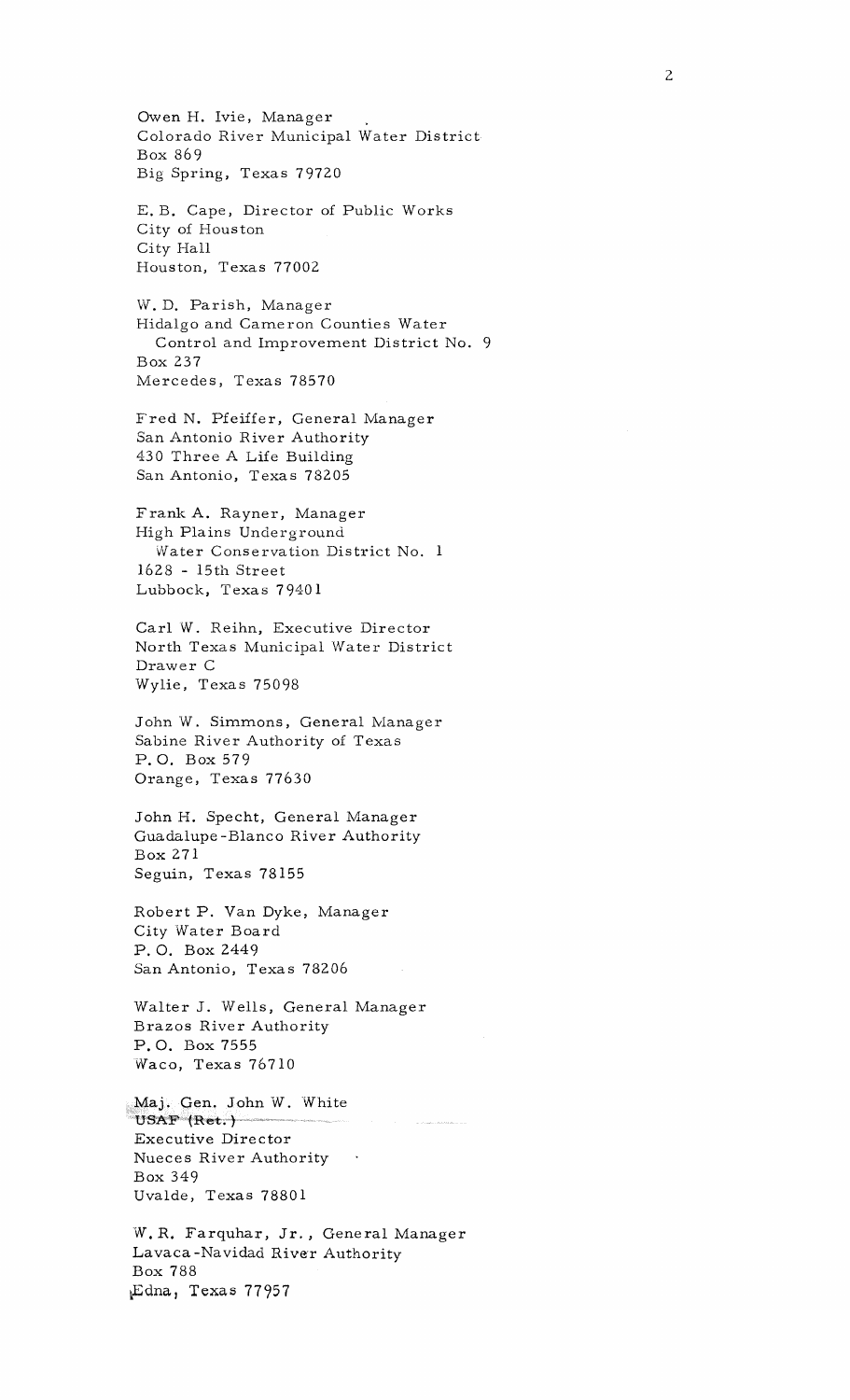Owen H. lvie, Manager Colorado River Municipal Water District Box 869 Big Spring, Texas 79720 E. B. Cape, Director of Public Works City of Houston City Hall Houston, Texas 77002 W. D. Parish, Manager Hidalgo and Cameron Counties Water Control and Improvement District No. 9 Box 237 Mercedes, Texas 78570 Fred N. Pfeiffer, General Manager San Antonio River Authority 430 Three A Life Building San Antonio, Texas 78205 Frank A. Rayner, Manager High Plains Underground Water Conservation District No. 1 1628 - 15th Street Lubbock, Texas 79401 Carl W. Reihn, Executive Director North Texas Municipal Water District Drawer C Wylie, Texas 75098 John W. Simmons, General Manager Sabine River Authority of Texas P. O. Box 579 Orange, Texas 77630 John H. Specht, General Manager Guadalupe -Blanco River Authority Box 271 Seguin, Texas 78155 Robert P. Van Dyke, Manager City Water Board P. O. Box 2449 San Antonio, Texas 78206 Walter J. Wells, General Manager Brazos River Authority P. O. Box 7555 Waco, Texas 76710 Maj. Gen. John W. White USAF (Ret.) Executive Director Nueces River Authority Box 349 Uvalde, Texas 78801 W. R. Farquhar, Jr., General Manager Lavaca-Navidad River Authority Box 788 LEdna, Texas 77957

2